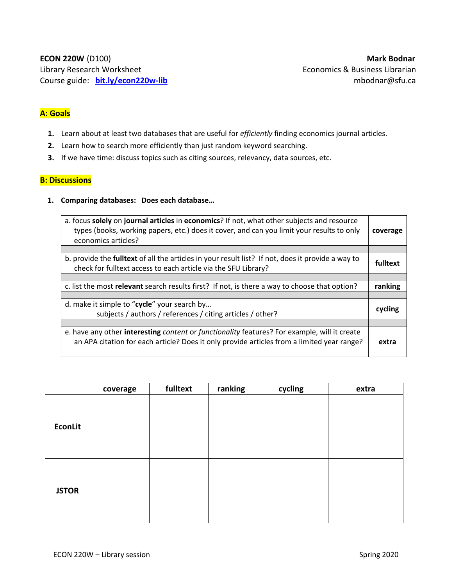## **A: Goals**

- **1.** Learn about at least two databases that are useful for *efficiently* finding economics journal articles.
- **2.** Learn how to search more efficiently than just random keyword searching.
- **3.** If we have time: discuss topics such as citing sources, relevancy, data sources, etc.

## **B: Discussions**

**1. Comparing databases: Does each database…**

| a. focus solely on journal articles in economics? If not, what other subjects and resource<br>types (books, working papers, etc.) does it cover, and can you limit your results to only<br>economics articles? | coverage |
|----------------------------------------------------------------------------------------------------------------------------------------------------------------------------------------------------------------|----------|
|                                                                                                                                                                                                                |          |
| b. provide the fulltext of all the articles in your result list? If not, does it provide a way to<br>check for fulltext access to each article via the SFU Library?                                            | fulltext |
|                                                                                                                                                                                                                |          |
| c. list the most relevant search results first? If not, is there a way to choose that option?                                                                                                                  | ranking  |
|                                                                                                                                                                                                                |          |
| d. make it simple to "cycle" your search by<br>subjects / authors / references / citing articles / other?                                                                                                      | cycling  |
|                                                                                                                                                                                                                |          |
| e. have any other interesting content or functionality features? For example, will it create<br>an APA citation for each article? Does it only provide articles from a limited year range?                     | extra    |

|                | coverage | fulltext | ranking | cycling | extra |
|----------------|----------|----------|---------|---------|-------|
| <b>EconLit</b> |          |          |         |         |       |
| <b>JSTOR</b>   |          |          |         |         |       |